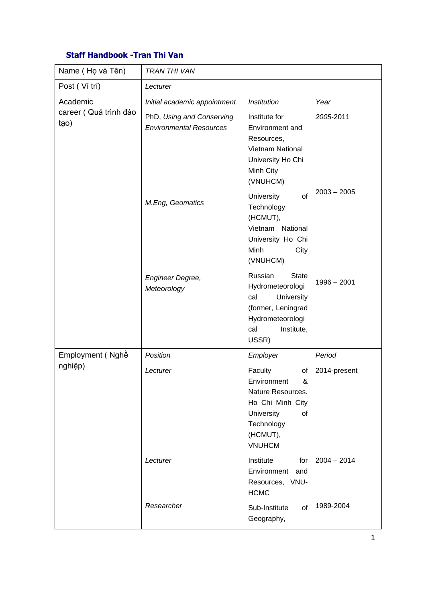## **Staff Handbook -Tran Thi Van**

| Name (Họ và Tên)                          | <b>TRAN THI VAN</b>                                         |                                                                                                                                           |               |  |  |
|-------------------------------------------|-------------------------------------------------------------|-------------------------------------------------------------------------------------------------------------------------------------------|---------------|--|--|
| Post (Ví trí)                             | Lecturer                                                    |                                                                                                                                           |               |  |  |
| Academic<br>career (Quá trình đào<br>tạo) | Initial academic appointment                                | <b>Institution</b>                                                                                                                        | Year          |  |  |
|                                           | PhD, Using and Conserving<br><b>Environmental Resources</b> | Institute for<br>Environment and<br>Resources,<br><b>Vietnam National</b><br>University Ho Chi<br>Minh City<br>(VNUHCM)                   | 2005-2011     |  |  |
|                                           | M.Eng, Geomatics                                            | University<br>of<br>Technology<br>(HCMUT),<br>Vietnam National<br>University Ho Chi<br>Minh<br>City<br>(VNUHCM)                           | $2003 - 2005$ |  |  |
|                                           | Engineer Degree,<br>Meteorology                             | Russian<br><b>State</b><br>Hydrometeorologi<br>University<br>cal<br>(former, Leningrad<br>Hydrometeorologi<br>Institute,<br>cal<br>USSR)  | $1996 - 2001$ |  |  |
| Employment (Nghề                          | Position                                                    | Employer                                                                                                                                  | Period        |  |  |
| nghiệp)                                   | Lecturer                                                    | Faculty<br>of<br>Environment<br>ጼ<br>Nature Resources.<br>Ho Chi Minh City<br>University<br>οf<br>Technology<br>(HCMUT),<br><b>VNUHCM</b> | 2014-present  |  |  |
|                                           | Lecturer                                                    | Institute<br>for<br>Environment and<br>Resources, VNU-<br><b>HCMC</b>                                                                     | $2004 - 2014$ |  |  |
|                                           | Researcher                                                  | Sub-Institute<br>of<br>Geography,                                                                                                         | 1989-2004     |  |  |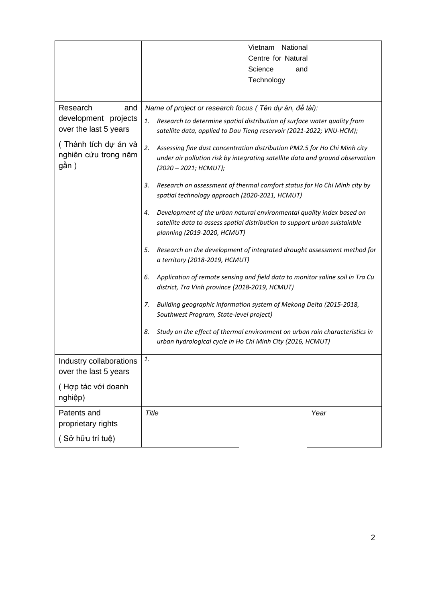|                                                       | Vietnam National<br>Centre for Natural<br>Science<br>and                                                                                                                                  |  |  |
|-------------------------------------------------------|-------------------------------------------------------------------------------------------------------------------------------------------------------------------------------------------|--|--|
|                                                       |                                                                                                                                                                                           |  |  |
|                                                       |                                                                                                                                                                                           |  |  |
|                                                       | Technology                                                                                                                                                                                |  |  |
|                                                       |                                                                                                                                                                                           |  |  |
| Research<br>and                                       | Name of project or research focus ( Tên dự án, đề tài):                                                                                                                                   |  |  |
| development projects<br>over the last 5 years         | Research to determine spatial distribution of surface water quality from<br>1.<br>satellite data, applied to Dau Tieng reservoir (2021-2022; VNU-HCM);                                    |  |  |
| (Thành tích dự án và<br>nghiên cứu trong năm<br>gần ) | 2.<br>Assessing fine dust concentration distribution PM2.5 for Ho Chi Minh city<br>under air pollution risk by integrating satellite data and ground observation<br>(2020 - 2021; HCMUT); |  |  |
|                                                       | Research on assessment of thermal comfort status for Ho Chi Minh city by<br>3.<br>spatial technology approach (2020-2021, HCMUT)                                                          |  |  |
|                                                       | Development of the urban natural environmental quality index based on<br>4.<br>satellite data to assess spatial distribution to support urban suistainble<br>planning (2019-2020, HCMUT)  |  |  |
|                                                       | Research on the development of integrated drought assessment method for<br>5.<br>a territory (2018-2019, HCMUT)                                                                           |  |  |
|                                                       | Application of remote sensing and field data to monitor saline soil in Tra Cu<br>6.<br>district, Tra Vinh province (2018-2019, HCMUT)                                                     |  |  |
|                                                       | Building geographic information system of Mekong Delta (2015-2018,<br>7.<br>Southwest Program, State-level project)                                                                       |  |  |
|                                                       | Study on the effect of thermal environment on urban rain characteristics in<br>8.<br>urban hydrological cycle in Ho Chi Minh City (2016, HCMUT)                                           |  |  |
| Industry collaborations<br>over the last 5 years      | 1.                                                                                                                                                                                        |  |  |
| (Hợp tác với doanh<br>nghiệp)                         |                                                                                                                                                                                           |  |  |
| Patents and<br>proprietary rights                     | Title<br>Year                                                                                                                                                                             |  |  |
| (Sở hữu trí tuệ)                                      |                                                                                                                                                                                           |  |  |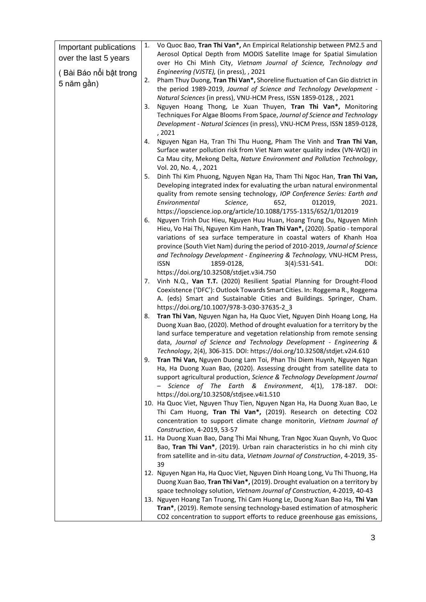| Important publications<br>over the last 5 years | 1. | Vo Quoc Bao, Tran Thi Van*, An Empirical Relationship between PM2.5 and<br>Aerosol Optical Depth from MODIS Satellite Image for Spatial Simulation<br>over Ho Chi Minh City, Vietnam Journal of Science, Technology and                                                                                                                                                                                                                                                                                          |
|-------------------------------------------------|----|------------------------------------------------------------------------------------------------------------------------------------------------------------------------------------------------------------------------------------------------------------------------------------------------------------------------------------------------------------------------------------------------------------------------------------------------------------------------------------------------------------------|
| (Bài Báo nối bật trong                          |    | Engineering (VJSTE), (in press), , 2021                                                                                                                                                                                                                                                                                                                                                                                                                                                                          |
| 5 năm gần)                                      | 2. | Pham Thuy Duong, Tran Thi Van*, Shoreline fluctuation of Can Gio district in<br>the period 1989-2019, Journal of Science and Technology Development -<br>Natural Sciences (in press), VNU-HCM Press, ISSN 1859-0128, , 2021                                                                                                                                                                                                                                                                                      |
|                                                 | 3. | Nguyen Hoang Thong, Le Xuan Thuyen, Tran Thi Van*, Monitoring<br>Techniques For Algae Blooms From Space, Journal of Science and Technology<br>Development - Natural Sciences (in press), VNU-HCM Press, ISSN 1859-0128,<br>, 2021                                                                                                                                                                                                                                                                                |
|                                                 | 4. | Nguyen Ngan Ha, Tran Thi Thu Huong, Pham The Vinh and Tran Thi Van,<br>Surface water pollution risk from Viet Nam water quality index (VN-WQI) in<br>Ca Mau city, Mekong Delta, Nature Environment and Pollution Technology,<br>Vol. 20, No. 4, , 2021                                                                                                                                                                                                                                                           |
|                                                 | 5. | Dinh Thi Kim Phuong, Nguyen Ngan Ha, Tham Thi Ngoc Han, Tran Thi Van,<br>Developing integrated index for evaluating the urban natural environmental<br>quality from remote sensing technology, IOP Conference Series: Earth and<br>Environmental<br>Science,<br>012019,<br>2021.<br>652,                                                                                                                                                                                                                         |
|                                                 | 6. | https://iopscience.iop.org/article/10.1088/1755-1315/652/1/012019<br>Nguyen Trinh Duc Hieu, Nguyen Huu Huan, Hoang Trung Du, Nguyen Minh<br>Hieu, Vo Hai Thi, Nguyen Kim Hanh, Tran Thi Van*, (2020). Spatio - temporal<br>variations of sea surface temperature in coastal waters of Khanh Hoa<br>province (South Viet Nam) during the period of 2010-2019, Journal of Science<br>and Technology Development - Engineering & Technology, VNU-HCM Press,<br><b>ISSN</b><br>1859-0128,<br>$3(4):531-541.$<br>DOI: |
|                                                 | 7. | https://doi.org/10.32508/stdjet.v3i4.750<br>Vinh N.Q., Van T.T. (2020) Resilient Spatial Planning for Drought-Flood<br>Coexistence ('DFC'): Outlook Towards Smart Cities. In: Roggema R., Roggema<br>A. (eds) Smart and Sustainable Cities and Buildings. Springer, Cham.<br>https://doi.org/10.1007/978-3-030-37635-2_3                                                                                                                                                                                         |
|                                                 | 8. | Tran Thi Van, Nguyen Ngan ha, Ha Quoc Viet, Nguyen Dinh Hoang Long, Ha<br>Duong Xuan Bao, (2020). Method of drought evaluation for a territory by the<br>land surface temperature and vegetation relationship from remote sensing<br>data, Journal of Science and Technology Development - Engineering &<br>Technology, 2(4), 306-315. DOI: https://doi.org/10.32508/stdjet.v2i4.610                                                                                                                             |
|                                                 | 9. | Tran Thi Van, Nguyen Duong Lam Toi, Phan Thi Diem Huynh, Nguyen Ngan<br>Ha, Ha Duong Xuan Bao, (2020). Assessing drought from satellite data to<br>support agricultural production, Science & Technology Development Journal<br>Science of The Earth & Environment, 4(1),<br>178-187.<br>DOI:<br>https://doi.org/10.32508/stdjsee.v4i1.510                                                                                                                                                                       |
|                                                 |    | 10. Ha Quoc Viet, Nguyen Thuy Tien, Nguyen Ngan Ha, Ha Duong Xuan Bao, Le<br>Thi Cam Huong, Tran Thi Van*, (2019). Research on detecting CO2<br>concentration to support climate change monitorin, Vietnam Journal of<br>Construction, 4-2019, 53-57                                                                                                                                                                                                                                                             |
|                                                 |    | 11. Ha Duong Xuan Bao, Dang Thi Mai Nhung, Tran Ngoc Xuan Quynh, Vo Quoc<br>Bao, Tran Thi Van*, (2019). Urban rain characteristics in ho chi minh city<br>from satellite and in-situ data, Vietnam Journal of Construction, 4-2019, 35-<br>39                                                                                                                                                                                                                                                                    |
|                                                 |    | 12. Nguyen Ngan Ha, Ha Quoc Viet, Nguyen Dinh Hoang Long, Vu Thi Thuong, Ha<br>Duong Xuan Bao, Tran Thi Van*, (2019). Drought evaluation on a territory by<br>space technology solution, Vietnam Journal of Construction, 4-2019, 40-43                                                                                                                                                                                                                                                                          |
|                                                 |    | 13. Nguyen Hoang Tan Truong, Thi Cam Huong Le, Duong Xuan Bao Ha, Thi Van<br>Tran*, (2019). Remote sensing technology-based estimation of atmospheric<br>CO2 concentration to support efforts to reduce greenhouse gas emissions,                                                                                                                                                                                                                                                                                |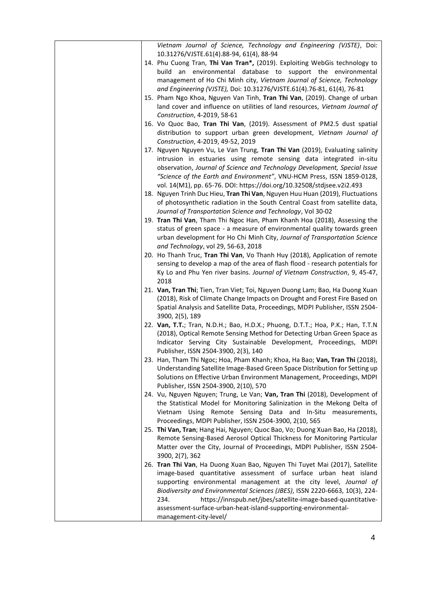| Vietnam Journal of Science, Technology and Engineering (VJSTE), Doi:<br>10.31276/VJSTE.61(4).88-94, 61(4), 88-94<br>14. Phu Cuong Tran, Thi Van Tran*, (2019). Exploiting WebGis technology to<br>build an environmental database to support the environmental<br>management of Ho Chi Minh city, Vietnam Journal of Science, Technology<br>and Engineering (VJSTE), Doi: 10.31276/VJSTE.61(4).76-81, 61(4), 76-81<br>15. Pham Ngo Khoa, Nguyen Van Tinh, Tran Thi Van, (2019). Change of urban<br>land cover and influence on utilities of land resources, Vietnam Journal of<br>Construction, 4-2019, 58-61<br>16. Vo Quoc Bao, Tran Thi Van, (2019). Assessment of PM2.5 dust spatial<br>distribution to support urban green development, Vietnam Journal of<br>Construction, 4-2019, 49-52, 2019<br>17. Nguyen Nguyen Vu, Le Van Trung, Tran Thi Van (2019), Evaluating salinity<br>intrusion in estuaries using remote sensing data integrated in-situ<br>observation, Journal of Science and Technology Development, Special Issue<br>"Science of the Earth and Environment", VNU-HCM Press, ISSN 1859-0128,<br>vol. 14(M1), pp. 65-76. DOI: https://doi.org/10.32508/stdjsee.v2i2.493<br>18. Nguyen Trinh Duc Hieu, Tran Thi Van, Nguyen Huu Huan (2019), Fluctuations<br>of photosynthetic radiation in the South Central Coast from satellite data,<br>Journal of Transportation Science and Technology, Vol 30-02<br>19. Tran Thi Van, Tham Thi Ngoc Han, Pham Khanh Hoa (2018), Assessing the<br>status of green space - a measure of environmental quality towards green<br>urban development for Ho Chi Minh City, Journal of Transportation Science<br>and Technology, vol 29, 56-63, 2018<br>20. Ho Thanh Truc, Tran Thi Van, Vo Thanh Huy (2018), Application of remote<br>sensing to develop a map of the area of flash flood - research potentials for<br>Ky Lo and Phu Yen river basins. Journal of Vietnam Construction, 9, 45-47,<br>2018<br>21. Van, Tran Thi; Tien, Tran Viet; Toi, Nguyen Duong Lam; Bao, Ha Duong Xuan<br>(2018), Risk of Climate Change Impacts on Drought and Forest Fire Based on<br>Spatial Analysis and Satellite Data, Proceedings, MDPI Publisher, ISSN 2504-<br>3900, 2(5), 189<br>22. Van, T.T.; Tran, N.D.H.; Bao, H.D.X.; Phuong, D.T.T.; Hoa, P.K.; Han, T.T.N<br>(2018), Optical Remote Sensing Method for Detecting Urban Green Space as<br>Indicator Serving City Sustainable Development, Proceedings, MDPI<br>Publisher, ISSN 2504-3900, 2(3), 140<br>23. Han, Tham Thi Ngoc; Hoa, Pham Khanh; Khoa, Ha Bao; Van, Tran Thi (2018),<br>Understanding Satellite Image-Based Green Space Distribution for Setting up<br>Solutions on Effective Urban Environment Management, Proceedings, MDPI<br>Publisher, ISSN 2504-3900, 2(10), 570<br>24. Vu, Nguyen Nguyen; Trung, Le Van; Van, Tran Thi (2018), Development of<br>the Statistical Model for Monitoring Salinization in the Mekong Delta of<br>Vietnam Using Remote Sensing Data and In-Situ measurements,<br>Proceedings, MDPI Publisher, ISSN 2504-3900, 2(10, 565<br>25. Thi Van, Tran; Hang Hai, Nguyen; Quoc Bao, Vo; Duong Xuan Bao, Ha (2018),<br>Remote Sensing-Based Aerosol Optical Thickness for Monitoring Particular<br>Matter over the City, Journal of Proceedings, MDPI Publisher, ISSN 2504-<br>3900, 2(7), 362<br>26. Tran Thi Van, Ha Duong Xuan Bao, Nguyen Thi Tuyet Mai (2017), Satellite<br>image-based quantitative assessment of surface urban heat island<br>supporting environmental management at the city level, Journal of<br>Biodiversity and Environmental Sciences (JBES), ISSN 2220-6663, 10(3), 224-<br>https://innspub.net/jbes/satellite-image-based-quantitative-<br>234.<br>assessment-surface-urban-heat-island-supporting-environmental-<br>management-city-level/ |  |
|--------------------------------------------------------------------------------------------------------------------------------------------------------------------------------------------------------------------------------------------------------------------------------------------------------------------------------------------------------------------------------------------------------------------------------------------------------------------------------------------------------------------------------------------------------------------------------------------------------------------------------------------------------------------------------------------------------------------------------------------------------------------------------------------------------------------------------------------------------------------------------------------------------------------------------------------------------------------------------------------------------------------------------------------------------------------------------------------------------------------------------------------------------------------------------------------------------------------------------------------------------------------------------------------------------------------------------------------------------------------------------------------------------------------------------------------------------------------------------------------------------------------------------------------------------------------------------------------------------------------------------------------------------------------------------------------------------------------------------------------------------------------------------------------------------------------------------------------------------------------------------------------------------------------------------------------------------------------------------------------------------------------------------------------------------------------------------------------------------------------------------------------------------------------------------------------------------------------------------------------------------------------------------------------------------------------------------------------------------------------------------------------------------------------------------------------------------------------------------------------------------------------------------------------------------------------------------------------------------------------------------------------------------------------------------------------------------------------------------------------------------------------------------------------------------------------------------------------------------------------------------------------------------------------------------------------------------------------------------------------------------------------------------------------------------------------------------------------------------------------------------------------------------------------------------------------------------------------------------------------------------------------------------------------------------------------------------------------------------------------------------------------------------------------------------------------------------------------------------------------------------------------------------------------------------------------------------------------------------------------------------------------------------------------------------------------------------------------------------------------------------------------------------------------------------------------------|--|
|                                                                                                                                                                                                                                                                                                                                                                                                                                                                                                                                                                                                                                                                                                                                                                                                                                                                                                                                                                                                                                                                                                                                                                                                                                                                                                                                                                                                                                                                                                                                                                                                                                                                                                                                                                                                                                                                                                                                                                                                                                                                                                                                                                                                                                                                                                                                                                                                                                                                                                                                                                                                                                                                                                                                                                                                                                                                                                                                                                                                                                                                                                                                                                                                                                                                                                                                                                                                                                                                                                                                                                                                                                                                                                                                                                                                                          |  |
|                                                                                                                                                                                                                                                                                                                                                                                                                                                                                                                                                                                                                                                                                                                                                                                                                                                                                                                                                                                                                                                                                                                                                                                                                                                                                                                                                                                                                                                                                                                                                                                                                                                                                                                                                                                                                                                                                                                                                                                                                                                                                                                                                                                                                                                                                                                                                                                                                                                                                                                                                                                                                                                                                                                                                                                                                                                                                                                                                                                                                                                                                                                                                                                                                                                                                                                                                                                                                                                                                                                                                                                                                                                                                                                                                                                                                          |  |
|                                                                                                                                                                                                                                                                                                                                                                                                                                                                                                                                                                                                                                                                                                                                                                                                                                                                                                                                                                                                                                                                                                                                                                                                                                                                                                                                                                                                                                                                                                                                                                                                                                                                                                                                                                                                                                                                                                                                                                                                                                                                                                                                                                                                                                                                                                                                                                                                                                                                                                                                                                                                                                                                                                                                                                                                                                                                                                                                                                                                                                                                                                                                                                                                                                                                                                                                                                                                                                                                                                                                                                                                                                                                                                                                                                                                                          |  |
|                                                                                                                                                                                                                                                                                                                                                                                                                                                                                                                                                                                                                                                                                                                                                                                                                                                                                                                                                                                                                                                                                                                                                                                                                                                                                                                                                                                                                                                                                                                                                                                                                                                                                                                                                                                                                                                                                                                                                                                                                                                                                                                                                                                                                                                                                                                                                                                                                                                                                                                                                                                                                                                                                                                                                                                                                                                                                                                                                                                                                                                                                                                                                                                                                                                                                                                                                                                                                                                                                                                                                                                                                                                                                                                                                                                                                          |  |
|                                                                                                                                                                                                                                                                                                                                                                                                                                                                                                                                                                                                                                                                                                                                                                                                                                                                                                                                                                                                                                                                                                                                                                                                                                                                                                                                                                                                                                                                                                                                                                                                                                                                                                                                                                                                                                                                                                                                                                                                                                                                                                                                                                                                                                                                                                                                                                                                                                                                                                                                                                                                                                                                                                                                                                                                                                                                                                                                                                                                                                                                                                                                                                                                                                                                                                                                                                                                                                                                                                                                                                                                                                                                                                                                                                                                                          |  |
|                                                                                                                                                                                                                                                                                                                                                                                                                                                                                                                                                                                                                                                                                                                                                                                                                                                                                                                                                                                                                                                                                                                                                                                                                                                                                                                                                                                                                                                                                                                                                                                                                                                                                                                                                                                                                                                                                                                                                                                                                                                                                                                                                                                                                                                                                                                                                                                                                                                                                                                                                                                                                                                                                                                                                                                                                                                                                                                                                                                                                                                                                                                                                                                                                                                                                                                                                                                                                                                                                                                                                                                                                                                                                                                                                                                                                          |  |
|                                                                                                                                                                                                                                                                                                                                                                                                                                                                                                                                                                                                                                                                                                                                                                                                                                                                                                                                                                                                                                                                                                                                                                                                                                                                                                                                                                                                                                                                                                                                                                                                                                                                                                                                                                                                                                                                                                                                                                                                                                                                                                                                                                                                                                                                                                                                                                                                                                                                                                                                                                                                                                                                                                                                                                                                                                                                                                                                                                                                                                                                                                                                                                                                                                                                                                                                                                                                                                                                                                                                                                                                                                                                                                                                                                                                                          |  |
|                                                                                                                                                                                                                                                                                                                                                                                                                                                                                                                                                                                                                                                                                                                                                                                                                                                                                                                                                                                                                                                                                                                                                                                                                                                                                                                                                                                                                                                                                                                                                                                                                                                                                                                                                                                                                                                                                                                                                                                                                                                                                                                                                                                                                                                                                                                                                                                                                                                                                                                                                                                                                                                                                                                                                                                                                                                                                                                                                                                                                                                                                                                                                                                                                                                                                                                                                                                                                                                                                                                                                                                                                                                                                                                                                                                                                          |  |
|                                                                                                                                                                                                                                                                                                                                                                                                                                                                                                                                                                                                                                                                                                                                                                                                                                                                                                                                                                                                                                                                                                                                                                                                                                                                                                                                                                                                                                                                                                                                                                                                                                                                                                                                                                                                                                                                                                                                                                                                                                                                                                                                                                                                                                                                                                                                                                                                                                                                                                                                                                                                                                                                                                                                                                                                                                                                                                                                                                                                                                                                                                                                                                                                                                                                                                                                                                                                                                                                                                                                                                                                                                                                                                                                                                                                                          |  |
|                                                                                                                                                                                                                                                                                                                                                                                                                                                                                                                                                                                                                                                                                                                                                                                                                                                                                                                                                                                                                                                                                                                                                                                                                                                                                                                                                                                                                                                                                                                                                                                                                                                                                                                                                                                                                                                                                                                                                                                                                                                                                                                                                                                                                                                                                                                                                                                                                                                                                                                                                                                                                                                                                                                                                                                                                                                                                                                                                                                                                                                                                                                                                                                                                                                                                                                                                                                                                                                                                                                                                                                                                                                                                                                                                                                                                          |  |
|                                                                                                                                                                                                                                                                                                                                                                                                                                                                                                                                                                                                                                                                                                                                                                                                                                                                                                                                                                                                                                                                                                                                                                                                                                                                                                                                                                                                                                                                                                                                                                                                                                                                                                                                                                                                                                                                                                                                                                                                                                                                                                                                                                                                                                                                                                                                                                                                                                                                                                                                                                                                                                                                                                                                                                                                                                                                                                                                                                                                                                                                                                                                                                                                                                                                                                                                                                                                                                                                                                                                                                                                                                                                                                                                                                                                                          |  |
|                                                                                                                                                                                                                                                                                                                                                                                                                                                                                                                                                                                                                                                                                                                                                                                                                                                                                                                                                                                                                                                                                                                                                                                                                                                                                                                                                                                                                                                                                                                                                                                                                                                                                                                                                                                                                                                                                                                                                                                                                                                                                                                                                                                                                                                                                                                                                                                                                                                                                                                                                                                                                                                                                                                                                                                                                                                                                                                                                                                                                                                                                                                                                                                                                                                                                                                                                                                                                                                                                                                                                                                                                                                                                                                                                                                                                          |  |
|                                                                                                                                                                                                                                                                                                                                                                                                                                                                                                                                                                                                                                                                                                                                                                                                                                                                                                                                                                                                                                                                                                                                                                                                                                                                                                                                                                                                                                                                                                                                                                                                                                                                                                                                                                                                                                                                                                                                                                                                                                                                                                                                                                                                                                                                                                                                                                                                                                                                                                                                                                                                                                                                                                                                                                                                                                                                                                                                                                                                                                                                                                                                                                                                                                                                                                                                                                                                                                                                                                                                                                                                                                                                                                                                                                                                                          |  |
|                                                                                                                                                                                                                                                                                                                                                                                                                                                                                                                                                                                                                                                                                                                                                                                                                                                                                                                                                                                                                                                                                                                                                                                                                                                                                                                                                                                                                                                                                                                                                                                                                                                                                                                                                                                                                                                                                                                                                                                                                                                                                                                                                                                                                                                                                                                                                                                                                                                                                                                                                                                                                                                                                                                                                                                                                                                                                                                                                                                                                                                                                                                                                                                                                                                                                                                                                                                                                                                                                                                                                                                                                                                                                                                                                                                                                          |  |
|                                                                                                                                                                                                                                                                                                                                                                                                                                                                                                                                                                                                                                                                                                                                                                                                                                                                                                                                                                                                                                                                                                                                                                                                                                                                                                                                                                                                                                                                                                                                                                                                                                                                                                                                                                                                                                                                                                                                                                                                                                                                                                                                                                                                                                                                                                                                                                                                                                                                                                                                                                                                                                                                                                                                                                                                                                                                                                                                                                                                                                                                                                                                                                                                                                                                                                                                                                                                                                                                                                                                                                                                                                                                                                                                                                                                                          |  |
|                                                                                                                                                                                                                                                                                                                                                                                                                                                                                                                                                                                                                                                                                                                                                                                                                                                                                                                                                                                                                                                                                                                                                                                                                                                                                                                                                                                                                                                                                                                                                                                                                                                                                                                                                                                                                                                                                                                                                                                                                                                                                                                                                                                                                                                                                                                                                                                                                                                                                                                                                                                                                                                                                                                                                                                                                                                                                                                                                                                                                                                                                                                                                                                                                                                                                                                                                                                                                                                                                                                                                                                                                                                                                                                                                                                                                          |  |
|                                                                                                                                                                                                                                                                                                                                                                                                                                                                                                                                                                                                                                                                                                                                                                                                                                                                                                                                                                                                                                                                                                                                                                                                                                                                                                                                                                                                                                                                                                                                                                                                                                                                                                                                                                                                                                                                                                                                                                                                                                                                                                                                                                                                                                                                                                                                                                                                                                                                                                                                                                                                                                                                                                                                                                                                                                                                                                                                                                                                                                                                                                                                                                                                                                                                                                                                                                                                                                                                                                                                                                                                                                                                                                                                                                                                                          |  |
|                                                                                                                                                                                                                                                                                                                                                                                                                                                                                                                                                                                                                                                                                                                                                                                                                                                                                                                                                                                                                                                                                                                                                                                                                                                                                                                                                                                                                                                                                                                                                                                                                                                                                                                                                                                                                                                                                                                                                                                                                                                                                                                                                                                                                                                                                                                                                                                                                                                                                                                                                                                                                                                                                                                                                                                                                                                                                                                                                                                                                                                                                                                                                                                                                                                                                                                                                                                                                                                                                                                                                                                                                                                                                                                                                                                                                          |  |
|                                                                                                                                                                                                                                                                                                                                                                                                                                                                                                                                                                                                                                                                                                                                                                                                                                                                                                                                                                                                                                                                                                                                                                                                                                                                                                                                                                                                                                                                                                                                                                                                                                                                                                                                                                                                                                                                                                                                                                                                                                                                                                                                                                                                                                                                                                                                                                                                                                                                                                                                                                                                                                                                                                                                                                                                                                                                                                                                                                                                                                                                                                                                                                                                                                                                                                                                                                                                                                                                                                                                                                                                                                                                                                                                                                                                                          |  |
|                                                                                                                                                                                                                                                                                                                                                                                                                                                                                                                                                                                                                                                                                                                                                                                                                                                                                                                                                                                                                                                                                                                                                                                                                                                                                                                                                                                                                                                                                                                                                                                                                                                                                                                                                                                                                                                                                                                                                                                                                                                                                                                                                                                                                                                                                                                                                                                                                                                                                                                                                                                                                                                                                                                                                                                                                                                                                                                                                                                                                                                                                                                                                                                                                                                                                                                                                                                                                                                                                                                                                                                                                                                                                                                                                                                                                          |  |
|                                                                                                                                                                                                                                                                                                                                                                                                                                                                                                                                                                                                                                                                                                                                                                                                                                                                                                                                                                                                                                                                                                                                                                                                                                                                                                                                                                                                                                                                                                                                                                                                                                                                                                                                                                                                                                                                                                                                                                                                                                                                                                                                                                                                                                                                                                                                                                                                                                                                                                                                                                                                                                                                                                                                                                                                                                                                                                                                                                                                                                                                                                                                                                                                                                                                                                                                                                                                                                                                                                                                                                                                                                                                                                                                                                                                                          |  |
|                                                                                                                                                                                                                                                                                                                                                                                                                                                                                                                                                                                                                                                                                                                                                                                                                                                                                                                                                                                                                                                                                                                                                                                                                                                                                                                                                                                                                                                                                                                                                                                                                                                                                                                                                                                                                                                                                                                                                                                                                                                                                                                                                                                                                                                                                                                                                                                                                                                                                                                                                                                                                                                                                                                                                                                                                                                                                                                                                                                                                                                                                                                                                                                                                                                                                                                                                                                                                                                                                                                                                                                                                                                                                                                                                                                                                          |  |
|                                                                                                                                                                                                                                                                                                                                                                                                                                                                                                                                                                                                                                                                                                                                                                                                                                                                                                                                                                                                                                                                                                                                                                                                                                                                                                                                                                                                                                                                                                                                                                                                                                                                                                                                                                                                                                                                                                                                                                                                                                                                                                                                                                                                                                                                                                                                                                                                                                                                                                                                                                                                                                                                                                                                                                                                                                                                                                                                                                                                                                                                                                                                                                                                                                                                                                                                                                                                                                                                                                                                                                                                                                                                                                                                                                                                                          |  |
|                                                                                                                                                                                                                                                                                                                                                                                                                                                                                                                                                                                                                                                                                                                                                                                                                                                                                                                                                                                                                                                                                                                                                                                                                                                                                                                                                                                                                                                                                                                                                                                                                                                                                                                                                                                                                                                                                                                                                                                                                                                                                                                                                                                                                                                                                                                                                                                                                                                                                                                                                                                                                                                                                                                                                                                                                                                                                                                                                                                                                                                                                                                                                                                                                                                                                                                                                                                                                                                                                                                                                                                                                                                                                                                                                                                                                          |  |
|                                                                                                                                                                                                                                                                                                                                                                                                                                                                                                                                                                                                                                                                                                                                                                                                                                                                                                                                                                                                                                                                                                                                                                                                                                                                                                                                                                                                                                                                                                                                                                                                                                                                                                                                                                                                                                                                                                                                                                                                                                                                                                                                                                                                                                                                                                                                                                                                                                                                                                                                                                                                                                                                                                                                                                                                                                                                                                                                                                                                                                                                                                                                                                                                                                                                                                                                                                                                                                                                                                                                                                                                                                                                                                                                                                                                                          |  |
|                                                                                                                                                                                                                                                                                                                                                                                                                                                                                                                                                                                                                                                                                                                                                                                                                                                                                                                                                                                                                                                                                                                                                                                                                                                                                                                                                                                                                                                                                                                                                                                                                                                                                                                                                                                                                                                                                                                                                                                                                                                                                                                                                                                                                                                                                                                                                                                                                                                                                                                                                                                                                                                                                                                                                                                                                                                                                                                                                                                                                                                                                                                                                                                                                                                                                                                                                                                                                                                                                                                                                                                                                                                                                                                                                                                                                          |  |
|                                                                                                                                                                                                                                                                                                                                                                                                                                                                                                                                                                                                                                                                                                                                                                                                                                                                                                                                                                                                                                                                                                                                                                                                                                                                                                                                                                                                                                                                                                                                                                                                                                                                                                                                                                                                                                                                                                                                                                                                                                                                                                                                                                                                                                                                                                                                                                                                                                                                                                                                                                                                                                                                                                                                                                                                                                                                                                                                                                                                                                                                                                                                                                                                                                                                                                                                                                                                                                                                                                                                                                                                                                                                                                                                                                                                                          |  |
|                                                                                                                                                                                                                                                                                                                                                                                                                                                                                                                                                                                                                                                                                                                                                                                                                                                                                                                                                                                                                                                                                                                                                                                                                                                                                                                                                                                                                                                                                                                                                                                                                                                                                                                                                                                                                                                                                                                                                                                                                                                                                                                                                                                                                                                                                                                                                                                                                                                                                                                                                                                                                                                                                                                                                                                                                                                                                                                                                                                                                                                                                                                                                                                                                                                                                                                                                                                                                                                                                                                                                                                                                                                                                                                                                                                                                          |  |
|                                                                                                                                                                                                                                                                                                                                                                                                                                                                                                                                                                                                                                                                                                                                                                                                                                                                                                                                                                                                                                                                                                                                                                                                                                                                                                                                                                                                                                                                                                                                                                                                                                                                                                                                                                                                                                                                                                                                                                                                                                                                                                                                                                                                                                                                                                                                                                                                                                                                                                                                                                                                                                                                                                                                                                                                                                                                                                                                                                                                                                                                                                                                                                                                                                                                                                                                                                                                                                                                                                                                                                                                                                                                                                                                                                                                                          |  |
|                                                                                                                                                                                                                                                                                                                                                                                                                                                                                                                                                                                                                                                                                                                                                                                                                                                                                                                                                                                                                                                                                                                                                                                                                                                                                                                                                                                                                                                                                                                                                                                                                                                                                                                                                                                                                                                                                                                                                                                                                                                                                                                                                                                                                                                                                                                                                                                                                                                                                                                                                                                                                                                                                                                                                                                                                                                                                                                                                                                                                                                                                                                                                                                                                                                                                                                                                                                                                                                                                                                                                                                                                                                                                                                                                                                                                          |  |
|                                                                                                                                                                                                                                                                                                                                                                                                                                                                                                                                                                                                                                                                                                                                                                                                                                                                                                                                                                                                                                                                                                                                                                                                                                                                                                                                                                                                                                                                                                                                                                                                                                                                                                                                                                                                                                                                                                                                                                                                                                                                                                                                                                                                                                                                                                                                                                                                                                                                                                                                                                                                                                                                                                                                                                                                                                                                                                                                                                                                                                                                                                                                                                                                                                                                                                                                                                                                                                                                                                                                                                                                                                                                                                                                                                                                                          |  |
|                                                                                                                                                                                                                                                                                                                                                                                                                                                                                                                                                                                                                                                                                                                                                                                                                                                                                                                                                                                                                                                                                                                                                                                                                                                                                                                                                                                                                                                                                                                                                                                                                                                                                                                                                                                                                                                                                                                                                                                                                                                                                                                                                                                                                                                                                                                                                                                                                                                                                                                                                                                                                                                                                                                                                                                                                                                                                                                                                                                                                                                                                                                                                                                                                                                                                                                                                                                                                                                                                                                                                                                                                                                                                                                                                                                                                          |  |
|                                                                                                                                                                                                                                                                                                                                                                                                                                                                                                                                                                                                                                                                                                                                                                                                                                                                                                                                                                                                                                                                                                                                                                                                                                                                                                                                                                                                                                                                                                                                                                                                                                                                                                                                                                                                                                                                                                                                                                                                                                                                                                                                                                                                                                                                                                                                                                                                                                                                                                                                                                                                                                                                                                                                                                                                                                                                                                                                                                                                                                                                                                                                                                                                                                                                                                                                                                                                                                                                                                                                                                                                                                                                                                                                                                                                                          |  |
|                                                                                                                                                                                                                                                                                                                                                                                                                                                                                                                                                                                                                                                                                                                                                                                                                                                                                                                                                                                                                                                                                                                                                                                                                                                                                                                                                                                                                                                                                                                                                                                                                                                                                                                                                                                                                                                                                                                                                                                                                                                                                                                                                                                                                                                                                                                                                                                                                                                                                                                                                                                                                                                                                                                                                                                                                                                                                                                                                                                                                                                                                                                                                                                                                                                                                                                                                                                                                                                                                                                                                                                                                                                                                                                                                                                                                          |  |
|                                                                                                                                                                                                                                                                                                                                                                                                                                                                                                                                                                                                                                                                                                                                                                                                                                                                                                                                                                                                                                                                                                                                                                                                                                                                                                                                                                                                                                                                                                                                                                                                                                                                                                                                                                                                                                                                                                                                                                                                                                                                                                                                                                                                                                                                                                                                                                                                                                                                                                                                                                                                                                                                                                                                                                                                                                                                                                                                                                                                                                                                                                                                                                                                                                                                                                                                                                                                                                                                                                                                                                                                                                                                                                                                                                                                                          |  |
|                                                                                                                                                                                                                                                                                                                                                                                                                                                                                                                                                                                                                                                                                                                                                                                                                                                                                                                                                                                                                                                                                                                                                                                                                                                                                                                                                                                                                                                                                                                                                                                                                                                                                                                                                                                                                                                                                                                                                                                                                                                                                                                                                                                                                                                                                                                                                                                                                                                                                                                                                                                                                                                                                                                                                                                                                                                                                                                                                                                                                                                                                                                                                                                                                                                                                                                                                                                                                                                                                                                                                                                                                                                                                                                                                                                                                          |  |
|                                                                                                                                                                                                                                                                                                                                                                                                                                                                                                                                                                                                                                                                                                                                                                                                                                                                                                                                                                                                                                                                                                                                                                                                                                                                                                                                                                                                                                                                                                                                                                                                                                                                                                                                                                                                                                                                                                                                                                                                                                                                                                                                                                                                                                                                                                                                                                                                                                                                                                                                                                                                                                                                                                                                                                                                                                                                                                                                                                                                                                                                                                                                                                                                                                                                                                                                                                                                                                                                                                                                                                                                                                                                                                                                                                                                                          |  |
|                                                                                                                                                                                                                                                                                                                                                                                                                                                                                                                                                                                                                                                                                                                                                                                                                                                                                                                                                                                                                                                                                                                                                                                                                                                                                                                                                                                                                                                                                                                                                                                                                                                                                                                                                                                                                                                                                                                                                                                                                                                                                                                                                                                                                                                                                                                                                                                                                                                                                                                                                                                                                                                                                                                                                                                                                                                                                                                                                                                                                                                                                                                                                                                                                                                                                                                                                                                                                                                                                                                                                                                                                                                                                                                                                                                                                          |  |
|                                                                                                                                                                                                                                                                                                                                                                                                                                                                                                                                                                                                                                                                                                                                                                                                                                                                                                                                                                                                                                                                                                                                                                                                                                                                                                                                                                                                                                                                                                                                                                                                                                                                                                                                                                                                                                                                                                                                                                                                                                                                                                                                                                                                                                                                                                                                                                                                                                                                                                                                                                                                                                                                                                                                                                                                                                                                                                                                                                                                                                                                                                                                                                                                                                                                                                                                                                                                                                                                                                                                                                                                                                                                                                                                                                                                                          |  |
|                                                                                                                                                                                                                                                                                                                                                                                                                                                                                                                                                                                                                                                                                                                                                                                                                                                                                                                                                                                                                                                                                                                                                                                                                                                                                                                                                                                                                                                                                                                                                                                                                                                                                                                                                                                                                                                                                                                                                                                                                                                                                                                                                                                                                                                                                                                                                                                                                                                                                                                                                                                                                                                                                                                                                                                                                                                                                                                                                                                                                                                                                                                                                                                                                                                                                                                                                                                                                                                                                                                                                                                                                                                                                                                                                                                                                          |  |
|                                                                                                                                                                                                                                                                                                                                                                                                                                                                                                                                                                                                                                                                                                                                                                                                                                                                                                                                                                                                                                                                                                                                                                                                                                                                                                                                                                                                                                                                                                                                                                                                                                                                                                                                                                                                                                                                                                                                                                                                                                                                                                                                                                                                                                                                                                                                                                                                                                                                                                                                                                                                                                                                                                                                                                                                                                                                                                                                                                                                                                                                                                                                                                                                                                                                                                                                                                                                                                                                                                                                                                                                                                                                                                                                                                                                                          |  |
|                                                                                                                                                                                                                                                                                                                                                                                                                                                                                                                                                                                                                                                                                                                                                                                                                                                                                                                                                                                                                                                                                                                                                                                                                                                                                                                                                                                                                                                                                                                                                                                                                                                                                                                                                                                                                                                                                                                                                                                                                                                                                                                                                                                                                                                                                                                                                                                                                                                                                                                                                                                                                                                                                                                                                                                                                                                                                                                                                                                                                                                                                                                                                                                                                                                                                                                                                                                                                                                                                                                                                                                                                                                                                                                                                                                                                          |  |
|                                                                                                                                                                                                                                                                                                                                                                                                                                                                                                                                                                                                                                                                                                                                                                                                                                                                                                                                                                                                                                                                                                                                                                                                                                                                                                                                                                                                                                                                                                                                                                                                                                                                                                                                                                                                                                                                                                                                                                                                                                                                                                                                                                                                                                                                                                                                                                                                                                                                                                                                                                                                                                                                                                                                                                                                                                                                                                                                                                                                                                                                                                                                                                                                                                                                                                                                                                                                                                                                                                                                                                                                                                                                                                                                                                                                                          |  |